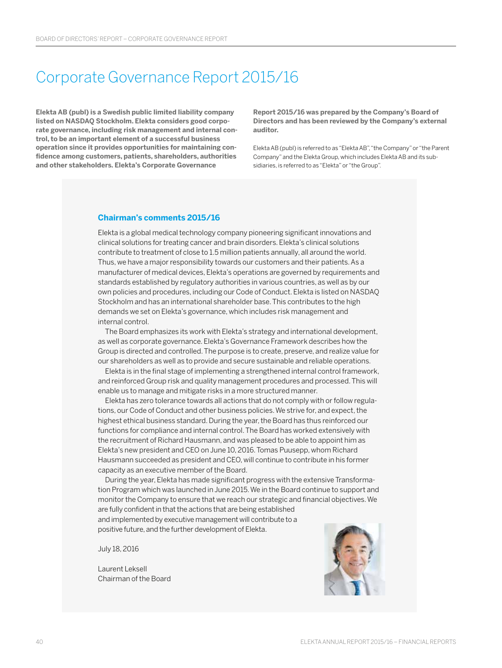# Corporate Governance Report 2015/16

**Elekta AB (publ) is a Swedish public limited liability company listed on NASDAQ Stockholm. Elekta considers good corporate governance, including risk management and internal control, to be an important element of a successful business operation since it provides opportunities for maintaining confidence among customers, patients, shareholders, authorities and other stakeholders. Elekta's Corporate Governance** 

**Report 2015/16 was prepared by the Company's Board of Directors and has been reviewed by the Company's external auditor.** 

Elekta AB (publ) is referred to as "Elekta AB", "the Company" or "the Parent Company" and the Elekta Group, which includes Elekta AB and its subsidiaries, is referred to as "Elekta" or "the Group".

#### **Chairman's comments 2015/16**

Elekta is a global medical technology company pioneering significant innovations and clinical solutions for treating cancer and brain disorders. Elekta's clinical solutions contribute to treatment of close to 1.5 million patients annually, all around the world. Thus, we have a major responsibility towards our customers and their patients. As a manufacturer of medical devices, Elekta's operations are governed by requirements and standards established by regulatory authorities in various countries, as well as by our own policies and procedures, including our Code of Conduct. Elekta is listed on NASDAQ Stockholm and has an international shareholder base. This contributes to the high demands we set on Elekta's governance, which includes risk management and internal control.

The Board emphasizes its work with Elekta's strategy and international development, as well as corporate governance. Elekta's Governance Framework describes how the Group is directed and controlled. The purpose is to create, preserve, and realize value for our shareholders as well as to provide and secure sustainable and reliable operations.

Elekta is in the final stage of implementing a strengthened internal control framework, and reinforced Group risk and quality management procedures and processed. This will enable us to manage and mitigate risks in a more structured manner.

Elekta has zero tolerance towards all actions that do not comply with or follow regulations, our Code of Conduct and other business policies. We strive for, and expect, the highest ethical business standard. During the year, the Board has thus reinforced our functions for compliance and internal control. The Board has worked extensively with the recruitment of Richard Hausmann, and was pleased to be able to appoint him as Elekta's new president and CEO on June 10, 2016. Tomas Puusepp, whom Richard Hausmann succeeded as president and CEO, will continue to contribute in his former capacity as an executive member of the Board.

During the year, Elekta has made significant progress with the extensive Transformation Program which was launched in June 2015. We in the Board continue to support and monitor the Company to ensure that we reach our strategic and financial objectives. We are fully confident in that the actions that are being established and implemented by executive management will contribute to a positive future, and the further development of Elekta.

July 18, 2016

Laurent Leksell Chairman of the Board

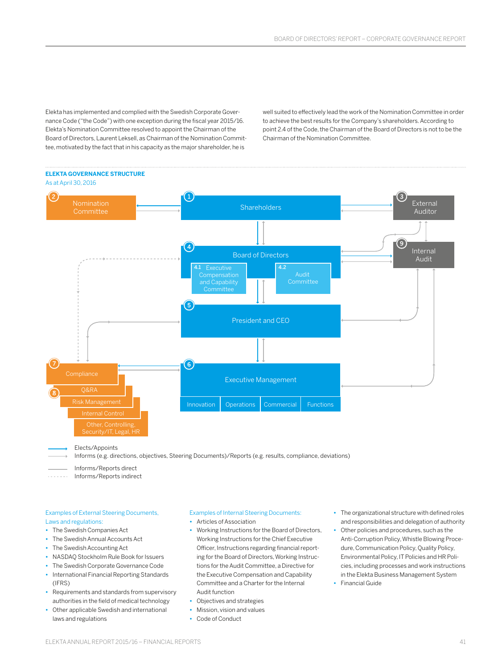Elekta has implemented and complied with the Swedish Corporate Governance Code ("the Code") with one exception during the fiscal year 2015/16. Elekta's Nomination Committee resolved to appoint the Chairman of the Board of Directors, Laurent Leksell, as Chairman of the Nomination Committee, motivated by the fact that in his capacity as the major shareholder, he is

well suited to effectively lead the work of the Nomination Committee in order to achieve the best results for the Company's shareholders. According to point 2.4 of the Code, the Chairman of the Board of Directors is not to be the Chairman of the Nomination Committee.

### **ELEKTA GOVERNANCE STRUCTURE**



Elects/Appoints

Informs (e.g. directions, objectives, Steering Documents)/Reports (e.g. results, compliance, deviations)

Informs/Reports direct

. . . . . . . Informs/Reports indirect

#### Examples of External Steering Documents, Laws and regulations:

- **•** The Swedish Companies Act
- **•** The Swedish Annual Accounts Act
- **•** The Swedish Accounting Act
- **•** NASDAQ Stockholm Rule Book for Issuers
- **•** The Swedish Corporate Governance Code
- **•** International Financial Reporting Standards (IFRS)
- **•** Requirements and standards from supervisory authorities in the field of medical technology
- **•** Other applicable Swedish and international laws and regulations

#### Examples of Internal Steering Documents:

- **•** Articles of Association
- **•** Working Instructions for the Board of Directors, Working Instructions for the Chief Executive Officer, Instructions regarding financial reporting for the Board of Directors, Working Instructions for the Audit Committee, a Directive for the Executive Compensation and Capability Committee and a Charter for the Internal Audit function
- **•** Objectives and strategies
- **•** Mission, vision and values
- **•** Code of Conduct
- **•** The organizational structure with defined roles and responsibilities and delegation of authority
- **•** Other policies and procedures, such as the Anti-Corruption Policy, Whistle Blowing Procedure, Communication Policy, Quality Policy, Environmental Policy, IT Policies and HR Policies, including processes and work instructions in the Elekta Business Management System
- **•** Financial Guide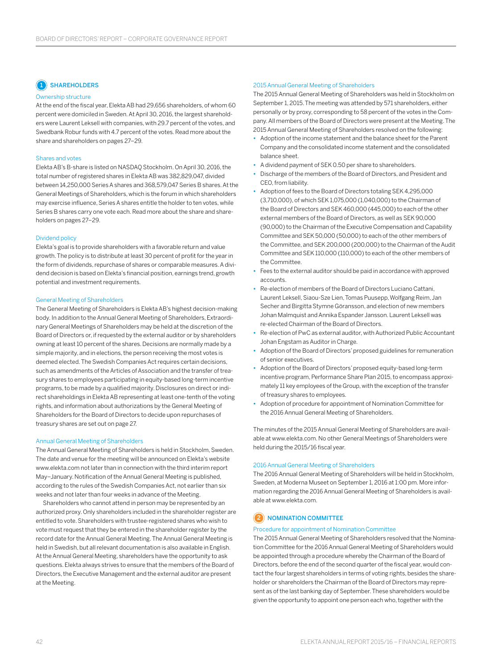### **1** SHAREHOLDERS

#### Ownership structure

At the end of the fiscal year, Elekta AB had 29,656 shareholders, of whom 60 percent were domiciled in Sweden. At April 30, 2016, the largest shareholders were Laurent Leksell with companies, with 29.7 percent of the votes, and Swedbank Robur funds with 4.7 percent of the votes. Read more about the share and shareholders on pages 27–29.

#### Shares and votes

Elekta AB's B-share is listed on NASDAQ Stockholm. On April 30, 2016, the total number of registered shares in Elekta AB was 382,829,047, divided between 14,250,000 Series A shares and 368,579,047 Series B shares. At the General Meetings of Shareholders, which is the forum in which shareholders may exercise influence, Series A shares entitle the holder to ten votes, while Series B shares carry one vote each. Read more about the share and shareholders on pages 27–29.

#### Dividend policy

Elekta's goal is to provide shareholders with a favorable return and value growth. The policy is to distribute at least 30 percent of profit for the year in the form of dividends, repurchase of shares or comparable measures. Adividend decision is based on Elekta's financial position, earnings trend, growth potential and investment requirements.

#### General Meeting of Shareholders

The General Meeting of Shareholders is Elekta AB's highest decision-making body. In addition to the Annual General Meeting of Shareholders, Extraordinary General Meetings of Shareholders may be held at the discretion of the Board of Directors or, if requested by the external auditor or by shareholders owning at least 10 percent of the shares. Decisions are normally made by a simple majority, and in elections, the person receiving the most votes is deemed elected. The Swedish Companies Act requires certain decisions, such as amendments of the Articles of Association and the transfer of treasury shares to employees participating in equity-based long-term incentive programs, to be made by a qualified majority. Disclosures on direct or indirect shareholdings in Elekta AB representing at least one-tenth of the voting rights, and information about authorizations by the General Meeting of Shareholders for the Board of Directors to decide upon repurchases of treasury shares are set out on page 27.

#### Annual General Meeting of Shareholders

The Annual General Meeting of Shareholders is held in Stockholm, Sweden. The date and venue for the meeting will be announced on Elekta's website www.elekta.com not later than in connection with the third interim report May–January. Notification of the Annual General Meeting is published, according to the rules of the Swedish Companies Act, not earlier than six weeks and not later than four weeks in advance of the Meeting.

Shareholders who cannot attend in person may be represented by an authorized proxy. Only shareholders included in the shareholder register are entitled to vote. Shareholders with trustee-registered shares who wish to vote must request that they be entered in the shareholder register by the record date for the Annual General Meeting. The Annual General Meeting is held in Swedish, but all relevant documentation is also available in English. Atthe Annual General Meeting, shareholders have the opportunity to ask questions. Elekta always strives to ensure that the members of the Board of Directors, the Executive Management and the external auditor are present atthe Meeting.

#### 2015 Annual General Meeting of Shareholders

The 2015 Annual General Meeting of Shareholders was held in Stockholm on September 1, 2015. The meeting was attended by 571 shareholders, either personally or by proxy, corresponding to 58 percent of the votes in the Company. All members of the Board of Directors were present at the Meeting. The 2015 Annual General Meeting of Shareholders resolved on the following:

- **•** Adoption of the income statement and the balance sheet for the Parent Company and the consolidated income statement and the consolidated balance sheet.
- **•** A dividend payment of SEK 0.50 per share to shareholders.
- **•** Discharge of the members of the Board of Directors, and President and CEO, from liability.
- **•** Adoption of fees to the Board of Directors totaling SEK 4,295,000 (3,710,000), of which SEK 1,075,000 (1,040,000) to the Chairman of the Board of Directors and SEK 460,000 (445,000) to each of the other external members of the Board of Directors, as well as SEK 90,000 (90,000) to the Chairman of the Executive Compensation and Capability Committee and SEK 50,000 (50,000) to each of the other members of the Committee, and SEK 200,000 (200,000) to the Chairman of the Audit Committee and SEK 110,000 (110,000) to each of the other members of the Committee.
- **•** Fees to the external auditor should be paid in accordance with approved accounts.
- **•** Re-election of members of the Board of Directors Luciano Cattani, Laurent Leksell, Siaou-Sze Lien, Tomas Puusepp, Wolfgang Reim, Jan Secher and Birgitta Stymne Göransson, and election of new members Johan Malmquist and Annika Espander Jansson. Laurent Leksell was re-elected Chairman of the Board of Directors.
- **•** Re-election of PwC as external auditor, with Authorized Public Accountant Johan Engstam as Auditor in Charge.
- **•** Adoption of the Board of Directors' proposed guidelines for remuneration of senior executives.
- **•** Adoption of the Board of Directors' proposed equity-based long-term incentive program, Performance Share Plan 2015, to encompass approximately 11 key employees of the Group, with the exception of the transfer of treasury shares to employees.
- **•** Adoption of procedure for appointment of Nomination Committee for the 2016 Annual General Meeting of Shareholders.

The minutes of the 2015 Annual General Meeting of Shareholders are available at www.elekta.com. No other General Meetings of Shareholders were held during the 2015/16 fiscal year.

#### 2016 Annual General Meeting of Shareholders

The 2016 Annual General Meeting of Shareholders will be held in Stockholm, Sweden, at Moderna Museet on September 1, 2016 at 1:00 pm. More information regarding the 2016 Annual General Meeting of Shareholders is available at www.elekta.com.

#### **2** NOMINATION COMMITTEE

#### Procedure for appointment of Nomination Committee

The 2015 Annual General Meeting of Shareholders resolved that the Nomination Committee for the 2016 Annual General Meeting of Shareholders would be appointed through a procedure whereby the Chairman of the Board of Directors, before the end of the second quarter of the fiscal year, would contact the four largest shareholders in terms of voting rights, besides the shareholder or shareholders the Chairman of the Board of Directors may represent as of the last banking day of September. These shareholders would be given the opportunity to appoint one person each who, together with the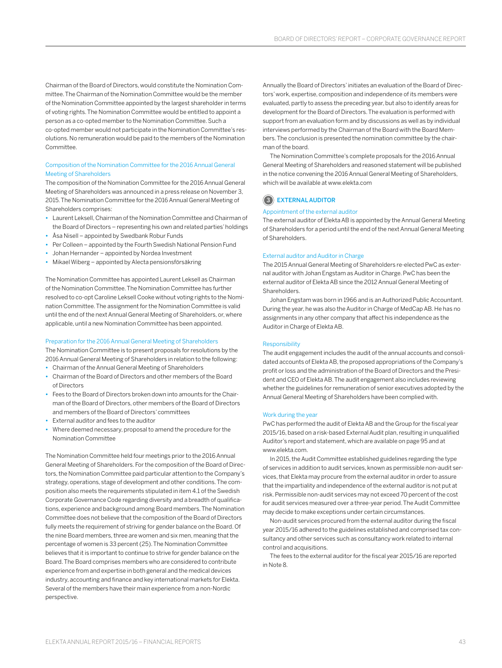Chairman of the Board of Directors, would constitute the Nomination Committee. The Chairman of the Nomination Committee would be the member of the Nomination Committee appointed by the largest shareholder in terms of voting rights. The Nomination Committee would be entitled to appoint a person as a co-opted member to the Nomination Committee. Such a co-opted member would not participate in the Nomination Committee's resolutions. No remuneration would be paid to the members of the Nomination Committee.

#### Composition of the Nomination Committee for the 2016 Annual General Meeting of Shareholders

The composition of the Nomination Committee for the 2016 Annual General Meeting of Shareholders was announced in a press release on November 3, 2015. The Nomination Committee for the 2016 Annual General Meeting of Shareholders comprises:

- **•** Laurent Leksell, Chairman of the Nomination Committee and Chairman of the Board of Directors – representing his own and related parties' holdings
- **•** Åsa Nisell appointed by Swedbank Robur Funds
- **•** Per Colleen appointed by the Fourth Swedish National Pension Fund
- **•** Johan Hernander appointed by Nordea Investment
- **•** Mikael Wiberg appointed by Alecta pensionsförsäkring

The Nomination Committee has appointed Laurent Leksell as Chairman ofthe Nomination Committee. The Nomination Committee has further resolved to co-opt Caroline Leksell Cooke without voting rights to the Nomination Committee. The assignment for the Nomination Committee is valid until the end of the next Annual General Meeting of Shareholders, or, where applicable, until a new Nomination Committee has been appointed.

#### Preparation for the 2016 Annual General Meeting of Shareholders

The Nomination Committee is to present proposals for resolutions by the 2016 Annual General Meeting of Shareholders in relation to the following:

- **•** Chairman of the Annual General Meeting of Shareholders
- **•** Chairman of the Board of Directors and other members of the Board of Directors
- **•** Fees to the Board of Directors broken down into amounts for the Chairman of the Board of Directors, other members of the Board of Directors and members of the Board of Directors' committees
- **•** External auditor and fees to the auditor
- **•** Where deemed necessary, proposal to amend the procedure for the Nomination Committee

The Nomination Committee held four meetings prior to the 2016 Annual General Meeting of Shareholders. For the composition of the Board of Directors, the Nomination Committee paid particular attention to the Company's strategy, operations, stage of development and other conditions. The composition also meets the requirements stipulated in item 4.1 of the Swedish Corporate Governance Code regarding diversity and a breadth of qualifications, experience and background among Board members. The Nomination Committee does not believe that the composition of the Board of Directors fully meets the requirement of striving for gender balance on the Board. Of the nine Board members, three are women and six men, meaning that the percentage of women is 33 percent (25). The Nomination Committee believes that it is important to continue to strive for gender balance on the Board. The Board comprises members who are considered to contribute experience from and expertise in both general and the medical devices industry, accounting and finance and key international markets for Elekta. Several of the members have their main experience from a non-Nordic perspective.

Annually the Board of Directors' initiates an evaluation of the Board of Directors' work, expertise, composition and independence of its members were evaluated, partly to assess the preceding year, but also to identify areas for development for the Board of Directors. The evaluation is performed with support from an evaluation form and by discussions as well as by individual interviews performed by the Chairman of the Board with the Board Members. The conclusion is presented the nomination committee by the chairman of the board.

The Nomination Committee's complete proposals for the 2016 Annual General Meeting of Shareholders and reasoned statement will be published in the notice convening the 2016 Annual General Meeting of Shareholders, which will be available at www.elekta.com

#### 3 EXTERNAL AUDITOR

#### Appointment of the external auditor

The external auditor of Elekta AB is appointed by the Annual General Meeting of Shareholders for a period until the end of the next Annual General Meeting of Shareholders.

#### External auditor and Auditor in Charge

The 2015 Annual General Meeting of Shareholders re-elected PwC as external auditor with Johan Engstam as Auditor in Charge. PwC has been the external auditor of Elekta AB since the 2012 Annual General Meeting of Shareholders.

Johan Engstam was born in 1966 and is an Authorized Public Accountant. During the year, he was also the Auditor in Charge of MedCap AB. He has no assignments in any other company that affect his independence as the Auditor in Charge of Elekta AB.

#### Responsibility

The audit engagement includes the audit of the annual accounts and consolidated accounts of Elekta AB, the proposed appropriations of the Company's profit or loss and the administration of the Board of Directors and the President and CEO of Elekta AB. The audit engagement also includes reviewing whether the guidelines for remuneration of senior executives adopted by the Annual General Meeting of Shareholders have been complied with.

#### Work during the year

PwC has performed the audit of Elekta AB and the Group for the fiscal year 2015/16, based on a risk-based External Audit plan, resulting in unqualified Auditor's report and statement, which are available on page 95 and at www.elekta.com.

In 2015, the Audit Committee established guidelines regarding the type of services in addition to audit services, known as permissible non-audit services, that Elekta may procure from the external auditor in order to assure that the impartiality and independence of the external auditor is not put at risk. Permissible non-audit services may not exceed 70 percent of the cost for audit services measured over a three-year period. The Audit Committee may decide to make exceptions under certain circumstances.

Non-audit services procured from the external auditor during the fiscal year 2015/16 adhered to the guidelines established and comprised tax consultancy and other services such as consultancy work related to internal control and acquisitions.

The fees to the external auditor for the fiscal year 2015/16 are reported in Note 8.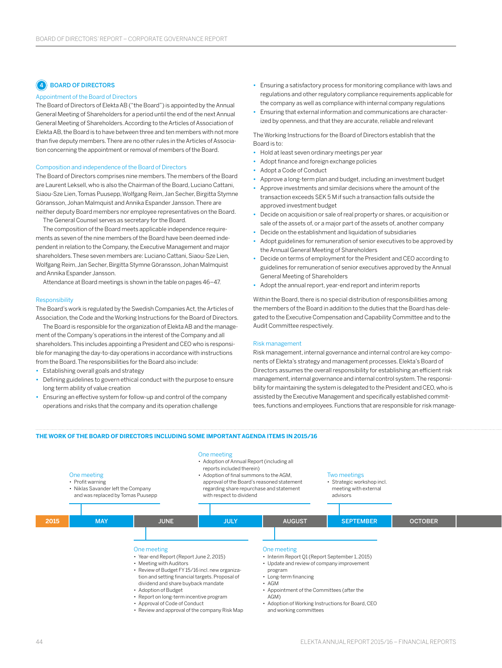## **4** BOARD OF DIRECTORS

#### Appointment of the Board of Directors

The Board of Directors of Elekta AB ("the Board") is appointed by the Annual General Meeting of Shareholders for a period until the end of the next Annual General Meeting of Shareholders. According to the Articles of Association of Elekta AB, the Board is to have between three and ten members with not more than five deputy members. There are no other rules in the Articles of Association concerning the appointment or removal of members of the Board.

#### Composition and independence of the Board of Directors

The Board of Directors comprises nine members. The members of the Board are Laurent Leksell, who is also the Chairman of the Board, Luciano Cattani, Siaou-Sze Lien, Tomas Puusepp, Wolfgang Reim, Jan Secher, Birgitta Stymne Göransson, Johan Malmquist and Annika Espander Jansson. There are neither deputy Board members nor employee representatives on the Board.

The General Counsel serves as secretary for the Board.

The composition of the Board meets applicable independence requirements as seven of the nine members of the Board have been deemed independent in relation to the Company, the Executive Management and major shareholders. These seven members are: Luciano Cattani, Siaou-Sze Lien, Wolfgang Reim, Jan Secher, Birgitta Stymne Göransson, Johan Malmquist and Annika Espander Jansson.

Attendance at Board meetings is shown in the table on pages 46–47.

#### Responsibility

The Board's work is regulated by the Swedish Companies Act, the Articles of Association, the Code and the Working Instructions for the Board of Directors.

The Board is responsible for the organization of Elekta AB and the management of the Company's operations in the interest of the Company and all shareholders. This includes appointing a President and CEO who is responsible for managing the day-to-day operations in accordance with instructions from the Board. The responsibilities for the Board also include:

- **•** Establishing overall goals and strategy
- **•** Defining guidelines to govern ethical conduct with the purpose to ensure long term ability of value creation
- **•** Ensuring an effective system for follow-up and control of the company operations and risks that the company and its operation challenge
- **•** Ensuring a satisfactory process for monitoring compliance with laws and regulations and other regulatory compliance requirements applicable for the company as well as compliance with internal company regulations
- **•** Ensuring that external information and communications are characterized by openness, and that they are accurate, reliable and relevant

The Working Instructions for the Board of Directors establish that the Board is to:

- **•** Hold at least seven ordinary meetings per year
- **•** Adopt finance and foreign exchange policies
- **•** Adopt a Code of Conduct
- **•** Approve a long-term plan and budget, including an investment budget
- **•** Approve investments and similar decisions where the amount of the transaction exceeds SEK 5 M if such a transaction falls outside the approved investment budget
- **•** Decide on acquisition or sale of real property or shares, or acquisition or sale of the assets of, or a major part of the assets of, another company
- **•** Decide on the establishment and liquidation of subsidiaries
- **•** Adopt guidelines for remuneration of senior executives to be approved by the Annual General Meeting of Shareholders
- **•** Decide on terms of employment for the President and CEO according to guidelines for remuneration of senior executives approved by the Annual General Meeting of Shareholders
- **•** Adopt the annual report, year-end report and interim reports

Within the Board, there is no special distribution of responsibilities among the members of the Board in addition to the duties that the Board has delegated to the Executive Compensation and Capability Committee and to the Audit Committee respectively.

#### Risk management

Risk management, internal governance and internal control are key components of Elekta's strategy and management processes. Elekta's Board of Directors assumes the overall responsibility for establishing an efficient risk management, internal governance and internal control system. The responsibility for maintaining the system is delegated to the President and CEO, who is assisted by the Executive Management and specifically established committees, functions and employees. Functions that are responsible for risk manage-

#### **THE WORK OF THE BOARD OF DIRECTORS INCLUDING SOME IMPORTANT AGENDA ITEMS IN 2015/16**

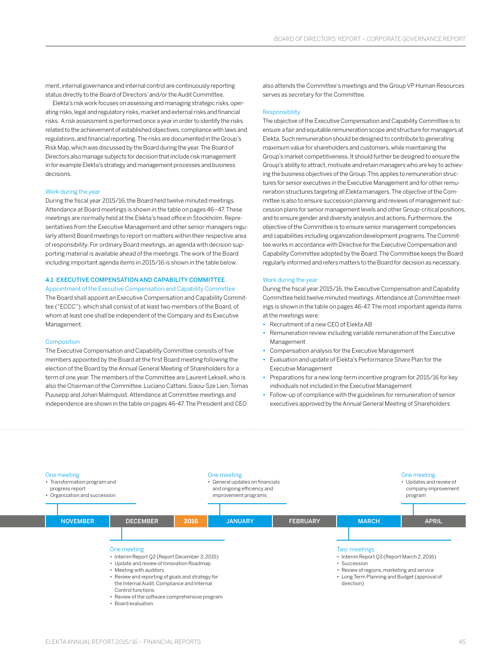ment, internal governance and internal control are continuously reporting status directly to the Board of Directors' and/or the Audit Committee.

Elekta's risk work focuses on assessing and managing strategic risks, operating risks, legal and regulatory risks, market and external risks and financial risks. A risk assessment is performed once a year in order to identify the risks related to the achievement of established objectives, compliance with laws and regulations, and financial reporting. The risks are documented in the Group's Risk Map, which was discussed by the Board during the year. The Board of Directors also manage subjects for decision that include risk management in for example Elekta's strategy and management processes and business decisions.

#### Work during the year

During the fiscal year 2015/16, the Board held twelve minuted meetings. Attendance at Board meetings is shown in the table on pages 46–47. These meetings are normally held at the Elekta's head office in Stockholm. Representatives from the Executive Management and other senior managers regularly attend Board meetings to report on matters within their respective area of responsibility. For ordinary Board meetings, an agenda with decision supporting material is available ahead of the meetings. The work of the Board including important agenda items in 2015/16 is shown in the table below.

#### 4.1 EXECUTIVE COMPENSATION AND CAPABILITY COMMITTEE

Appointment of the Executive Compensation and Capability Committee The Board shall appoint an Executive Compensation and Capability Committee ("ECCC"), which shall consist of at least two members of the Board, of whom at least one shall be independent of the Company and its Executive Management.

#### Composition

The Executive Compensation and Capability Committee consists of five members appointed by the Board at the first Board meeting following the election of the Board by the Annual General Meeting of Shareholders for a term of one year. The members of the Committee are Laurent Leksell, who is also the Chairman of the Committee, Luciano Cattani, Siaou-Sze Lien, Tomas Puusepp and Johan Malmquist. Attendance at Committee meetings and independence are shown in the table on pages 46-47. The President and CEO

also attends the Committee's meetings and the Group VP Human Resources serves as secretary for the Committee.

#### Responsibility

The objective of the Executive Compensation and Capability Committee is to ensure a fair and equitable remuneration scope and structure for managers at Elekta. Such remuneration should be designed to contribute to generating maximum value for shareholders and customers, while maintaining the Group's market competitiveness. It should further be designed to ensure the Group's ability to attract, motivate and retain managers who are key to achieving the business objectives of the Group. This applies to remuneration structures for senior executives in the Executive Management and for other remuneration structures targeting all Elekta managers. The objective of the Committee is also to ensure succession planning and reviews of management succession plans for senior management levels and other Group-critical positions, and to ensure gender and diversity analysis and actions. Furthermore, the objective of the Committee is to ensure senior management competencies and capabilities including organization development programs. The Committee works in accordance with Directive for the Executive Compensation and Capability Committee adopted by the Board. The Committee keeps the Board regularly informed and refers matters to the Board for decision as necessary.

#### Work during the year

During the fiscal year 2015/16, the Executive Compensation and Capability Committee held twelve minuted meetings. Attendance at Committee meetings is shown in the table on pages 46-47. The most important agenda items at the meetings were:

- **•** Recruitment of a new CEO of Elekta AB
- **•** Remuneration review including variable remuneration of the Executive Management
- **•** Compensation analysis for the Executive Management
- **•** Evaluation and update of Elekta's Performance Share Plan for the Executive Management
- **•** Preparations for a new long-term incentive program for 2015/16 for key individuals not included in the Executive Management
- **•** Follow-up of compliance with the guidelines for remuneration of senior executives approved by the Annual General Meeting of Shareholders

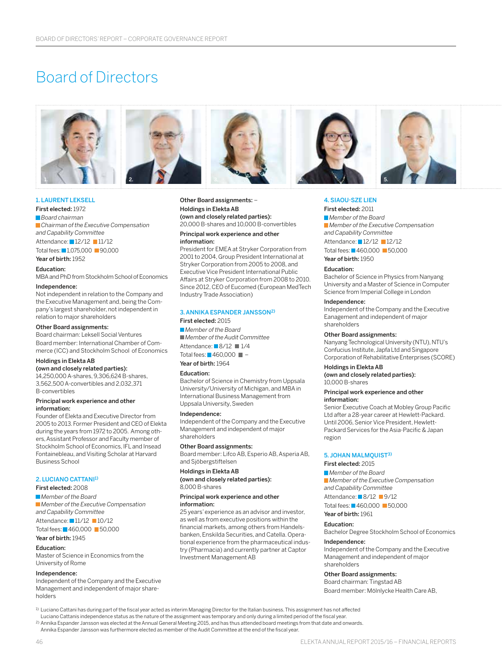# Board of Directors



#### 1. LAURENT LEKSELL

First elected: 1972 *Board chairman Chairman of the Executive Compensation and Capability Committee* Attendance: 12/12 11/12 Total fees: 1,075,000 90,000

#### Education:

MBA and PhD from Stockholm School of Economics

#### Independence:

Year of birth: 1952

Not independent in relation to the Company and the Executive Management and, being the Company's largest shareholder, not independent in relation to major shareholders

#### Other Board assignments:

Board chairman: Leksell Social Ventures

Board member: International Chamber of Commerce (ICC) and Stockholm School of Economics

#### Holdings in Elekta AB

(own and closely related parties): 14,250,000 A-shares, 9,306,624 B-shares, 3,562,500 A-convertibles and 2,032,371 B-convertibles

#### Principal work experience and other information:

Founder of Elekta and Executive Director from 2005 to 2013. Former President and CEO of Elekta during the years from 1972 to 2005. Among others, Assistant Professor and Faculty member of Stockholm School of Economics, IFL and Insead Fontainebleau, and Visiting Scholar at Harvard Business School

#### 2. LUCIANO CATTANI1)

First elected: 2008

*Member of the Board Member of the Executive Compensation and Capability Committee*

### Attendance: 11/12 10/12

Total fees: 460,000 50,000 Year of birth: 1945

#### Education:

Master of Science in Economics from the University of Rome

#### Independence:

Independent of the Company and the Executive Management and independent of major shareholders

#### Other Board assignments: – Holdings in Elekta AB (own and closely related parties): 20,000 B-shares and 10,000 B-convertibles

Principal work experience and other

#### information:

President for EMEA at Stryker Corporation from 2001 to 2004, Group President International at Stryker Corporation from 2005 to 2008, and Executive Vice President International Public Affairs at Stryker Corporation from 2008 to 2010. Since 2012, CEO of Eucomed (European MedTech Industry Trade Association)

#### 3. ANNIKA ESPANDER JANSSON2)

First elected: 2015

*Member of the Board Member of the Audit Committee* Attendance: 8/12 1/4 Total fees:  $\blacksquare$  460,000  $\blacksquare$  -Year of birth: 1964

#### Education:

Bachelor of Science in Chemistry from Uppsala University/University of Michigan, and MBA in International Business Management from Uppsala University, Sweden

#### Independence:

Independent of the Company and the Executive Management and independent of major shareholders

#### Other Board assignments:

Board member: Lifco AB, Esperio AB, Asperia AB, and Sjöbergstiftelsen

#### Holdings in Elekta AB (own and closely related parties):

#### 8,000 B-shares Principal work experience and other

#### information:

25 years' experience as an advisor and investor, as well as from executive positions within the financial markets, among others from Handelsbanken, Enskilda Securities, and Catella. Operational experience from the pharmaceutical industry (Pharmacia) and currently partner at Captor Investment Management AB

### 4. SIAOU-SZE LIEN

#### First elected: 2011

*Member of the Board Member of the Executive Compensation and Capability Committee*

Attendance: 12/12 12/12

Total fees: 460,000 50,000

Year of birth: 1950

#### Education:

Bachelor of Science in Physics from Nanyang University and a Master of Science in Computer Science from Imperial College in London

#### Independence:

Independent of the Company and the Executive Eanagement and independent of major shareholders

#### Other Board assignments:

Nanyang Technological University (NTU), NTU's Confucius Institute, Japfa Ltd and Singapore Corporation of Rehabilitative Enterprises (SCORE)

#### Holdings in Elekta AB

(own and closely related parties): 10,000 B-shares

#### Principal work experience and other information:

Senior Executive Coach at Mobley Group Pacific Ltd after a 28-year career at Hewlett-Packard. Until 2006, Senior Vice President, Hewlett-Packard Services for the Asia-Pacific & Japan region

#### 5. JOHAN MALMQUIST3)

#### First elected: 2015

*Member of the Board Member of the Executive Compensation and Capability Committee*

Attendance: 8/12 9/12 Total fees: 460,000 50,000

Year of birth: 1961

### Education:

Bachelor Degree Stockholm School of Economics

#### Independence:

Independent of the Company and the Executive Management and independent of major shareholders

#### Other Board assignments:

Board chairman: Tingstad AB Board member: Mölnlycke Health Care AB,

1) Luciano Cattani has during part of the fiscal year acted as interim Managing Director for the Italian business. This assignment has not affected

Luciano Cattanis independence status as the nature of the assignment was temporary and only during a limited period of the fiscal year.

2) Annika Espander Jansson was elected at the Annual General Meeting 2015, and has thus attended board meetings from that date and onwards.

Annika Espander Jansson was furthermore elected as member of the Audit Committee at the end of the fiscal year.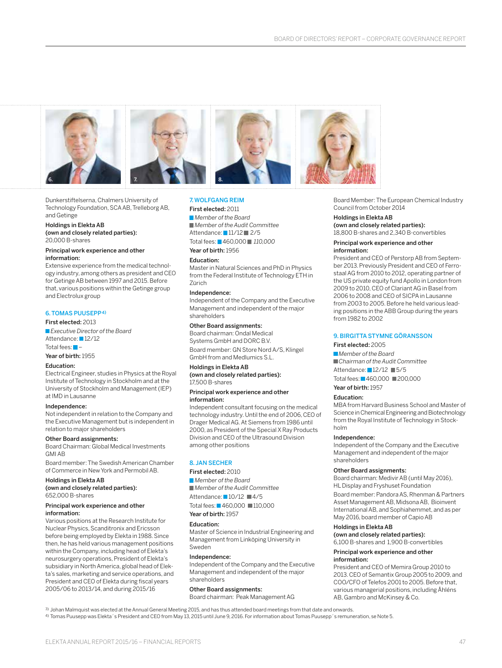

Dunkerstiftelserna, Chalmers University of Technology Foundation, SCA AB, Trelleborg AB, and Getinge

#### Holdings in Elekta AB (own and closely related parties): 20,000 B-shares

#### Principal work experience and other information:

Extensive experience from the medical technology industry, among others as president and CEO for Getinge AB between 1997 and 2015. Before that, various positions within the Getinge group and Electrolux group

### 6. TOMAS PUUSEPP4)

First elected: 2013 *Executive Director of the Board* Attendance: 12/12

Total fees:  $\blacksquare$ 

Year of birth: 1955

### Education:

Electrical Engineer, studies in Physics at the Royal Institute of Technology in Stockholm and at the University of Stockholm and Management (IEP) at IMD in Lausanne

### Independence:

Not independent in relation to the Company and the Executive Management but is independent in relation to major shareholders

#### Other Board assignments:

Board Chairman: Global Medical Investments GMIAB

Board member: The Swedish American Chamber of Commerce in New York and Permobil AB.

### Holdings in Elekta AB

(own and closely related parties): 652,000 B-shares

#### Principal work experience and other information:

Various positions at the Research Institute for Nuclear Physics, Scanditronix and Ericsson before being employed by Elekta in 1988. Since then, he has held various management positions within the Company, including head of Elekta's neurosurgery operations, President of Elekta's subsidiary in North America, global head of Elekta's sales, marketing and service operations, and President and CEO of Elekta during fiscal years 2005/06 to 2013/14, and during 2015/16

### 7. WOLFGANG REIM

#### First elected: 2011

*Member of the Board Member of the Audit Committee* Attendance: 11/12 2/5 Total fees: 460,000 *110,000* Year of birth: 1956

Education:

Master in Natural Sciences and PhD in Physics from the Federal Institute of Technology ETH in Zürich

#### Independence:

Independent of the Company and the Executive Management and independent of the major shareholders

Other Board assignments:

Board chairman: Ondal Medical Systems GmbH and DORC B.V. Board member: GN Store Nord A/S, Klingel GmbH from and Medlumics S.L.

#### Holdings in Elekta AB

(own and closely related parties): 17,500 B-shares

#### Principal work experience and other information:

Independent consultant focusing on the medical technology industry. Until the end of 2006, CEO of Drager Medical AG. At Siemens from 1986 until 2000, as President of the Special X Ray Products Division and CEO of the Ultrasound Division among other positions

#### 8. JAN SECHER

#### First elected: 2010

*Member of the Board Member of the Audit Committee* Attendance: 10/12 4/5 Total fees: 460,000 110,000

Year of birth: 1957

#### Education:

Master of Science in Industrial Engineering and Management from Linköping University in Sweden

#### Independence:

Independent of the Company and the Executive Management and independent of the major shareholders

#### Other Board assignments:

Board chairman: Peak Management AG

Board Member: The European Chemical Industry Council from October 2014

#### Holdings in Elekta AB

(own and closely related parties): 18,800 B-shares and 2,340 B-convertibles

#### Principal work experience and other information:

President and CEO of Perstorp AB from September 2013. Previously President and CEO of Ferrostaal AG from 2010 to 2012, operating partner of the US private equity fund Apollo in London from 2009 to 2010, CEO of Clariant AG in Basel from 2006 to 2008 and CEO of SICPA in Lausanne from 2003 to 2005. Before he held various leading positions in the ABB Group during the years from 1982 to 2002

### 9. BIRGITTA STYMNE GÖRANSSON

#### First elected: 2005

*Member of the Board Chairman of the Audit Committee* Attendance: 12/12 5/5 Total fees: 460,000 200,000

### Year of birth: 1957

### Education:

MBA from Harvard Business School and Master of Science in Chemical Engineering and Biotechnology from the Royal Institute of Technology in Stockholm

### Independence:

Independent of the Company and the Executive Management and independent of the major shareholders

#### Other Board assignments:

Board chairman: Medivir AB (until May 2016), HL Display and Fryshuset Foundation

Board member: Pandora AS, Rhenman & Partners Asset Management AB, Midsona AB, Bioinvent International AB, and Sophiahemmet, and as per May 2016, board member of Capio AB

### Holdings in Elekta AB

(own and closely related parties): 6,100 B-shares and 1,900 B-convertibles

#### Principal work experience and other information:

President and CEO of Memira Group 2010 to 2013. CEO of Semantix Group 2005 to 2009, and COO/CFO of Telefos 2001 to 2005. Before that, various managerial positions, including Åhléns AB, Gambro and McKinsey & Co.

3) Johan Malmquist was elected at the Annual General Meeting 2015, and has thus attended board meetings from that date and onwards. 4) Tomas Puusepp was Elekta´s President and CEO from May 13, 2015 until June 9, 2016. For information about Tomas Puusepp´s remuneration, se Note 5.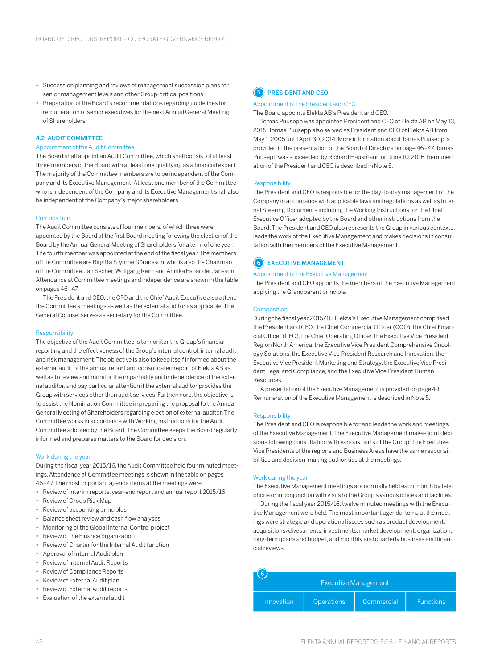- **•** Succession planning and reviews of management succession plans for senior management levels and other Group-critical positions
- **•** Preparation of the Board's recommendations regarding guidelines for remuneration of senior executives for the next Annual General Meeting of Shareholders

#### 4.2 AUDIT COMMITTEE

#### Appointment of the Audit Committee

The Board shall appoint an Audit Committee, which shall consist of at least three members of the Board with at least one qualifying as a financial expert. The majority of the Committee members are to be independent of the Company and its Executive Management. At least one member of the Committee who is independent of the Company and its Executive Management shall also be independent of the Company's major shareholders.

#### Composition

The Audit Committee consists of four members, of which three were appointed by the Board at the first Board meeting following the election of the Board by the Annual General Meeting of Shareholders for a term of one year. The fourth member was appointed at the end of the fiscal year. The members of the Committee are Birgitta Stymne Göransson, who is also the Chairman ofthe Committee, Jan Secher, Wolfgang Reim and Annika Espander Jansson. Attendance at Committee meetings and independence are shown in the table on pages 46–47.

The President and CEO, the CFO and the Chief Audit Executive also attend the Committee's meetings as well as the external auditor as applicable. The General Counsel serves as secretary for the Committee.

#### Responsibility

The objective of the Audit Committee is to monitor the Group's financial reporting and the effectiveness of the Group's internal control, internal audit and risk management. The objective is also to keep itself informed about the external audit of the annual report and consolidated report of Elekta AB as well as to review and monitor the impartiality and independence of the external auditor, and pay particular attention if the external auditor provides the Group with services other than audit services. Furthermore, the objective is to assist the Nomination Committee in preparing the proposal to the Annual General Meeting of Shareholders regarding election of external auditor. The Committee works in accordance with Working Instructions for the Audit Committee adopted by the Board. The Committee keeps the Board regularly informed and prepares matters to the Board for decision.

#### Work during the year

During the fiscal year 2015/16, the Audit Committee held four minuted meetings. Attendance at Committee meetings is shown in the table on pages 46–47. The most important agenda items at the meetings were:

- **•** Review of interim reports, year-end report and annual report 2015/16
- **•** Review of Group Risk Map
- **•** Review of accounting principles
- **•** Balance sheet review and cash flow analyses
- **•** Monitoring of the Global Internal Control project
- **•** Review of the Finance organization
- **•** Review of Charter for the Internal Audit function
- **•** Approval of Internal Audit plan
- **•** Review of Internal Audit Reports
- **•** Review of Compliance Reports
- **•** Review of External Audit plan
- **•** Review of External Audit reports
- **•** Evaluation of the external audit



#### Appointment of the President and CEO

The Board appoints Elekta AB's President and CEO.

Tomas Puusepp was appointed President and CEO of Elekta AB on May 13, 2015. Tomas Puusepp also served as President and CEO of Elekta AB from May 1, 2005 until April 30, 2014. More information about Tomas Puusepp is provided in the presentation of the Board of Directors on page 46–47. Tomas Puusepp was succeeded by Richard Hausmann on June 10, 2016. Remuneration of the President and CEO is described in Note 5.

#### Responsibility

The President and CEO is responsible for the day-to-day management of the Company in accordance with applicable laws and regulations as well as Internal Steering Documents including the Working Instructions for the Chief Executive Officer adopted by the Board and other instructions from the Board. The President and CEO also represents the Group in various contexts, leads the work of the Executive Management and makes decisions in consultation with the members of the Executive Management.

#### 6 EXECUTIVE MANAGEMENT

#### Appointment of the Executive Management

The President and CEO appoints the members of the Executive Management applying the Grandparent principle.

#### Composition

During the fiscal year 2015/16, Elekta's Executive Management comprised the President and CEO, the Chief Commercial Officer (COO), the Chief Financial Officer (CFO), the Chief Operating Officer, the Executive Vice President Region North America, the Executive Vice President Comprehensive Oncology Solutions, the Executive Vice President Research and Innovation, the Executive Vice President Marketing and Strategy, the Executive Vice President Legal and Compliance, and the Executive Vice President Human Resources.

A presentation of the Executive Management is provided on page 49. Remuneration of the Executive Management is described in Note 5.

#### Responsibility

The President and CEO is responsible for and leads the work and meetings of the Executive Management. The Executive Management makes joint decisions following consultation with various parts of the Group. The Executive Vice Presidents of the regions and Business Areas have the same responsibilities and decision-making authorities at the meetings.

#### Work during the year

The Executive Management meetings are normally held each month by telephone or in conjunction with visits to the Group's various offices and facilities.

During the fiscal year 2015/16, twelve minuted meetings with the Executive Management were held. The most important agenda items at the meetings were strategic and operational issues such as product development, acquisitions/divestments, investments, market development, organization, long-term plans and budget, and monthly and quarterly business and financial reviews.

| 6<br><b>Executive Management</b> |                   |            |                  |
|----------------------------------|-------------------|------------|------------------|
| Innovation                       | <b>Operations</b> | Commercial | <b>Functions</b> |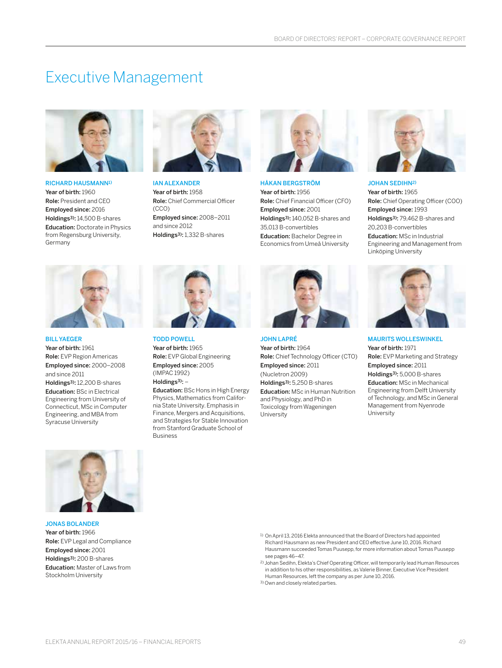# Executive Management



RICHARD HAUSMANN1) Year of birth: 1960 Role: President and CEO Employed since: 2016 Holdings3): 14,500 B-shares Education: Doctorate in Physics from Regensburg University, Germany



IAN ALEXANDER Year of birth: 1958 Role: Chief Commercial Officer (CCO) Employed since: 2008–2011 and since 2012 Holdings3): 1,332 B-shares



HÅKAN BERGSTRÖM Year of birth: 1956 Role: Chief Financial Officer (CFO) Employed since: 2001 Holdings3): 140,052 B-shares and 35,013 B-convertibles Education: Bachelor Degree in Economics from Umeå University



JOHAN SEDIHN2) Year of birth: 1965 Role: Chief Operating Officer (COO) Employed since: 1993 Holdings3): 79,462 B-shares and 20,203 B-convertibles Education: MSc in Industrial Engineering and Management from Linköping University



#### BILL YAEGER

Year of birth: 1961 Role: EVP Region Americas Employed since: 2000–2008 and since 2011 Holdings3): 12,200 B-shares Education: BSc in Electrical Engineering from University of Connecticut, MSc in Computer Engineering, and MBA from Syracuse University



TODD POWELL Year of birth: 1965 Role: EVP Global Engineering Employed since: 2005 (IMPAC 1992)

Holdings $3$ : -

Education: BSc Hons in High Energy Physics, Mathematics from California State University. Emphasis in Finance, Mergers and Acquisitions, and Strategies for Stable Innovation from Stanford Graduate School of Business



JOHN LAPRÉ Year of birth: 1964 Role: Chief Technology Officer (CTO) Employed since: 2011 (Nucletron 2009) Holdings3): 5,250 B-shares Education: MSc in Human Nutrition and Physiology, and PhD in Toxicology from Wageningen **University** 



MAURITS WOLLESWINKEL Year of birth: 1971 Role: EVP Marketing and Strategy Employed since: 2011 Holdings3): 5,000 B-shares Education: MSc in Mechanical Engineering from Delft University ofTechnology, and MSc in General Management from Nyenrode University



JONAS BOLANDER Year of birth: 1966 Role: EVP Legal and Compliance Employed since: 2001 Holdings3): 200 B-shares Education: Master of Laws from Stockholm University

- 1) On April 13, 2016 Elekta announced that the Board of Directors had appointed Richard Hausmann as new President and CEO effective June 10, 2016. Richard Hausmann succeeded Tomas Puusepp, for more information about Tomas Puusepp see pages 46-47.
- 2) Johan Sedihn, Elekta's Chief Operating Officer, will temporarily lead Human Resources in addition to his other responsibilities, as Valerie Binner, Executive Vice President Human Resources, left the company as per June 10, 2016.
- 3) Own and closely related parties.
- ELEKTA ANNUAL REPORT 2015/16 FINANCIAL REPORTS 49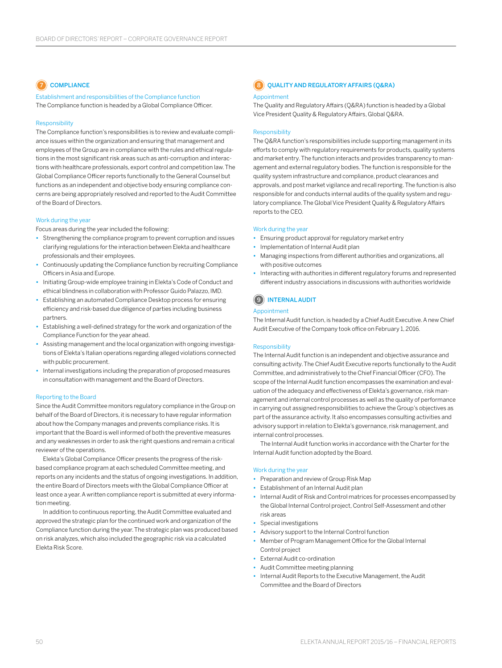### COMPLIANCE

Establishment and responsibilities of the Compliance function The Compliance function is headed by a Global Compliance Officer.

#### Responsibility

The Compliance function's responsibilities is to review and evaluate compliance issues within the organization and ensuring that management and employees of the Group are in compliance with the rules and ethical regulations in the most significant risk areas such as anti-corruption and interactions with healthcare professionals, export control and competition law. The Global Compliance Officer reports functionally to the General Counsel but functions as an independent and objective body ensuring compliance concerns are being appropriately resolved and reported to the Audit Committee of the Board of Directors.

#### Work during the year

Focus areas during the year included the following:

- **•** Strengthening the compliance program to prevent corruption and issues clarifying regulations for the interaction between Elekta and healthcare professionals and their employees.
- **•** Continuously updating the Compliance function by recruiting Compliance Officers in Asia and Europe.
- **•** Initiating Group-wide employee training in Elekta's Code of Conduct and ethical blindness in collaboration with Professor Guido Palazzo, IMD.
- **•** Establishing an automated Compliance Desktop process for ensuring efficiency and risk-based due diligence of parties including business partners.
- **•** Establishing a well-defined strategy for the work and organization of the Compliance Function for the year ahead.
- **•** Assisting management and the local organization with ongoing investigations of Elekta's Italian operations regarding alleged violations connected with public procurement.
- **•** Internal investigations including the preparation of proposed measures in consultation with management and the Board of Directors.

#### Reporting to the Board

Since the Audit Committee monitors regulatory compliance in the Group on behalf of the Board of Directors, it is necessary to have regular information about how the Company manages and prevents compliance risks. It is important that the Board is well informed of both the preventive measures and any weaknesses in order to ask the right questions and remain a critical reviewer of the operations.

Elekta's Global Compliance Officer presents the progress of the riskbased compliance program at each scheduled Committee meeting, and reports on any incidents and the status of ongoing investigations. In addition, the entire Board of Directors meets with the Global Compliance Officer at least once a year. A written compliance report is submitted at every information meeting.

In addition to continuous reporting, the Audit Committee evaluated and approved the strategic plan for the continued work and organization of the Compliance function during the year. The strategic plan was produced based on risk analyzes, which also included the geographic risk via a calculated Elekta Risk Score.

### **8** OUALITY AND REGULATORY AFFAIRS (O&RA) Appointment

The Quality and Regulatory Affairs (Q&RA) function is headed by a Global Vice President Quality & Regulatory Affairs, Global Q&RA.

#### Responsibility

The Q&RA function's responsibilities include supporting management in its efforts to comply with regulatory requirements for products, quality systems and market entry. The function interacts and provides transparency to management and external regulatory bodies. The function is responsible for the quality system infrastructure and compliance, product clearances and approvals, and post market vigilance and recall reporting. The function is also responsible for and conducts internal audits of the quality system and regulatory compliance. The Global Vice President Quality & Regulatory Affairs reports to the CEO.

#### Work during the year

- **•** Ensuring product approval for regulatory market entry
- **•** Implementation of Internal Audit plan
- **•** Managing inspections from different authorities and organizations, all with positive outcomes
- **•** Interacting with authorities in different regulatory forums and represented different industry associations in discussions with authorities worldwide

### 9 INTERNAL AUDIT

#### Appointment

The Internal Audit function, is headed by a Chief Audit Executive. A new Chief Audit Executive of the Company took office on February 1, 2016.

#### Responsibility

The Internal Audit function is an independent and objective assurance and consulting activity. The Chief Audit Executive reports functionally to the Audit Committee, and administratively to the Chief Financial Officer (CFO). The scope of the Internal Audit function encompasses the examination and evaluation of the adequacy and effectiveness of Elekta's governance, risk management and internal control processes as well as the quality of performance in carrying out assigned responsibilities to achieve the Group's objectives as part of the assurance activity. It also encompasses consulting activities and advisory support in relation to Elekta's governance, risk management, and internal control processes.

The Internal Audit function works in accordance with the Charter for the Internal Audit function adopted by the Board.

#### Work during the year

- **•** Preparation and review of Group Risk Map
- **•** Establishment of an Internal Audit plan
- **•** Internal Audit of Risk and Control matrices for processes encompassed by the Global Internal Control project, Control Self-Assessment and other risk areas
- **•** Special investigations
- **•** Advisory support to the Internal Control function
- **•** Member of Program Management Office for the Global Internal Control project
- **•** External Audit co-ordination
- **•** Audit Committee meeting planning
- **•** Internal Audit Reports to the Executive Management, the Audit Committee and the Board of Directors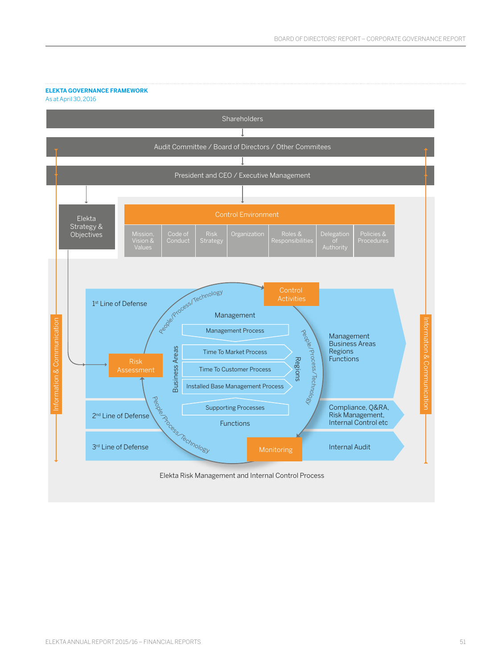### **ELEKTA GOVERNANCE FRAMEWORK**

As at April 30, 2016

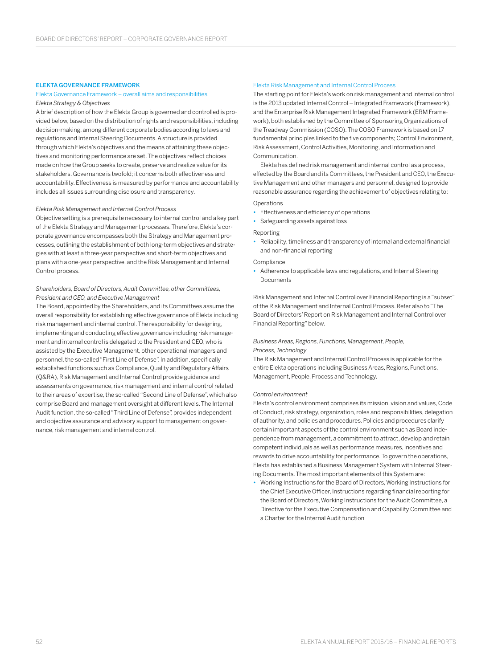#### ELEKTA GOVERNANCE FRAMEWORK

#### Elekta Governance Framework – overall aims and responsibilities *Elekta Strategy & Objectives*

A brief description of how the Elekta Group is governed and controlled is provided below, based on the distribution of rights and responsibilities, including decision-making, among different corporate bodies according to laws and regulations and Internal Steering Documents. A structure is provided through which Elekta's objectives and the means of attaining these objectives and monitoring performance are set. The objectives reflect choices made on how the Group seeks to create, preserve and realize value for its stakeholders. Governance is twofold; it concerns both effectiveness and accountability. Effectiveness is measured by performance and accountability includes all issues surrounding disclosure and transparency.

#### *Elekta Risk Management and Internal Control Process*

Objective setting is a prerequisite necessary to internal control and a key part of the Elekta Strategy and Management processes. Therefore, Elekta's corporate governance encompasses both the Strategy and Management processes, outlining the establishment of both long-term objectives and strategies with at least a three-year perspective and short-term objectives and plans with a one-year perspective, and the Risk Management and Internal Control process.

#### *Shareholders, Board of Directors, Audit Committee, other Committees, President and CEO, and Executive Management*

The Board, appointed by the Shareholders, and its Committees assume the overall responsibility for establishing effective governance of Elekta including risk management and internal control. The responsibility for designing, implementing and conducting effective governance including risk management and internal control is delegated to the President and CEO, who is assisted by the Executive Management, other operational managers and personnel, the so-called "First Line of Defense". In addition, specifically established functions such as Compliance, Quality and Regulatory Affairs (Q&RA), Risk Management and Internal Control provide guidance and assessments on governance, risk management and internal control related to their areas of expertise, the so-called "Second Line of Defense", which also comprise Board and management oversight at different levels. The Internal Audit function, the so-called "Third Line of Defense", provides independent and objective assurance and advisory support to management on governance, risk management and internal control.

#### Elekta Risk Management and Internal Control Process

The starting point for Elekta's work on risk management and internal control is the 2013 updated Internal Control – Integrated Framework (Framework), and the Enterprise Risk Management Integrated Framework (ERM Framework), both established by the Committee of Sponsoring Organizations of the Treadway Commission (COSO). The COSO Framework is based on 17 fundamental principles linked to the five components; Control Environment, Risk Assessment, Control Activities, Monitoring, and Information and Communication.

Elekta has defined risk management and internal control as a process, effected by the Board and its Committees, the President and CEO, the Executive Management and other managers and personnel, designed to provide reasonable assurance regarding the achievement of objectives relating to:

#### Operations

- **•** Effectiveness and efficiency of operations
- **•** Safeguarding assets against loss

#### Reporting

**•** Reliability, timeliness and transparency of internal and external financial and non-financial reporting

#### Compliance

**•** Adherence to applicable laws and regulations, and Internal Steering Documents

Risk Management and Internal Control over Financial Reporting is a "subset" of the Risk Management and Internal Control Process. Refer also to "The Board of Directors' Report on Risk Management and Internal Control over Financial Reporting" below.

#### *Business Areas, Regions, Functions, Management, People,*

*Process, Technology*

The Risk Management and Internal Control Process is applicable for the entire Elekta operations including Business Areas, Regions, Functions, Management, People, Process and Technology.

#### *Control environment*

Elekta's control environment comprises its mission, vision and values, Code of Conduct, risk strategy, organization, roles and responsibilities, delegation of authority, and policies and procedures. Policies and procedures clarify certain important aspects of the control environment such as Board independence from management, a commitment to attract, develop and retain competent individuals as well as performance measures, incentives and rewards to drive accountability for performance. To govern the operations, Elekta has established a Business Management System with Internal Steering Documents. The most important elements of this System are:

**•** Working Instructions for the Board of Directors, Working Instructions for the Chief Executive Officer, Instructions regarding financial reporting for the Board of Directors, Working Instructions for the Audit Committee, a Directive for the Executive Compensation and Capability Committee and a Charter for the Internal Audit function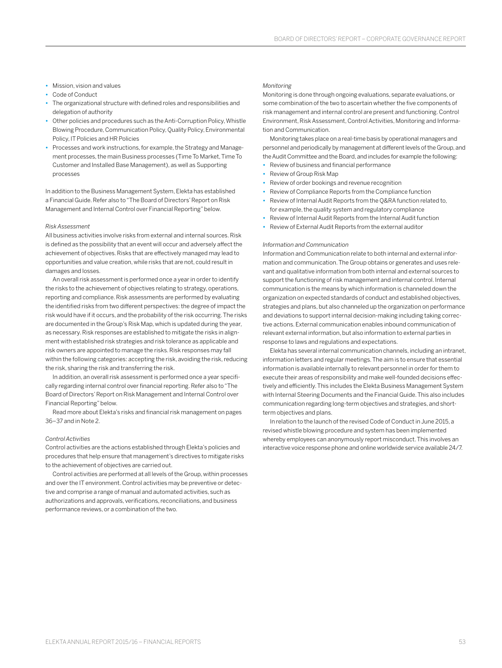- **•** Mission, vision and values
- **•** Code of Conduct
- **•** The organizational structure with defined roles and responsibilities and delegation of authority
- **•** Other policies and procedures such as the Anti-Corruption Policy, Whistle Blowing Procedure, Communication Policy, Quality Policy, Environmental Policy, IT Policies and HR Policies
- **•** Processes and work instructions, for example, the Strategy and Management processes, the main Business processes (Time To Market, Time To Customer and Installed Base Management), as well as Supporting processes

In addition to the Business Management System, Elekta has established a Financial Guide. Refer also to "The Board of Directors' Report on Risk Management and Internal Control over Financial Reporting" below.

#### *Risk Assessment*

All business activities involve risks from external and internal sources. Risk is defined as the possibility that an event will occur and adversely affect the achievement of objectives. Risks that are effectively managed may lead to opportunities and value creation, while risks that are not, could result in damages and losses.

An overall risk assessment is performed once a year in order to identify the risks to the achievement of objectives relating to strategy, operations, reporting and compliance. Risk assessments are performed by evaluating the identified risks from two different perspectives: the degree of impact the risk would have if it occurs, and the probability of the risk occurring. The risks are documented in the Group's Risk Map, which is updated during the year, as necessary. Risk responses are established to mitigate the risks in alignment with established risk strategies and risk tolerance as applicable and risk owners are appointed to manage the risks. Risk responses may fall within the following categories: accepting the risk, avoiding the risk, reducing the risk, sharing the risk and transferring the risk.

In addition, an overall risk assessment is performed once a year specifically regarding internal control over financial reporting. Refer also to "The Board of Directors' Report on Risk Management and Internal Control over Financial Reporting" below.

Read more about Elekta's risks and financial risk management on pages 36‒37 and in Note 2.

#### *Control Activities*

Control activities are the actions established through Elekta's policies and procedures that help ensure that management's directives to mitigate risks to the achievement of objectives are carried out.

Control activities are performed at all levels of the Group, within processes and over the IT environment. Control activities may be preventive or detective and comprise a range of manual and automated activities, such as authorizations and approvals, verifications, reconciliations, and business performance reviews, or a combination of the two.

#### *Monitoring*

Monitoring is done through ongoing evaluations, separate evaluations, or some combination of the two to ascertain whether the five components of risk management and internal control are present and functioning. Control Environment, Risk Assessment, Control Activities, Monitoring and Information and Communication.

Monitoring takes place on a real-time basis by operational managers and personnel and periodically by management at different levels of the Group, and the Audit Committee and the Board, and includes for example the following:

- **•** Review of business and financial performance
- **•** Review of Group Risk Map
- **•** Review of order bookings and revenue recognition
- **•** Review of Compliance Reports from the Compliance function
- **•** Review of Internal Audit Reports from the Q&RA function related to, for example, the quality system and regulatory compliance
- **•** Review of Internal Audit Reports from the Internal Audit function
- **•** Review of External Audit Reports from the external auditor

#### *Information and Communication*

Information and Communication relate to both internal and external information and communication. The Group obtains or generates and uses relevant and qualitative information from both internal and external sources to support the functioning of risk management and internal control. Internal communication is the means by which information is channeled down the organization on expected standards of conduct and established objectives, strategies and plans, but also channeled up the organization on performance and deviations to support internal decision-making including taking corrective actions. External communication enables inbound communication of relevant external information, but also information to external parties in response to laws and regulations and expectations.

Elekta has several internal communication channels, including an intranet, information letters and regular meetings. The aim is to ensure that essential information is available internally to relevant personnel in order for them to execute their areas of responsibility and make well-founded decisions effectively and efficiently. This includes the Elekta Business Management System with Internal Steering Documents and the Financial Guide. This also includes communication regarding long-term objectives and strategies, and shortterm objectives and plans.

In relation to the launch of the revised Code of Conduct in June 2015, a revised whistle blowing procedure and system has been implemented whereby employees can anonymously report misconduct. This involves an interactive voice response phone and online worldwide service available 24/7.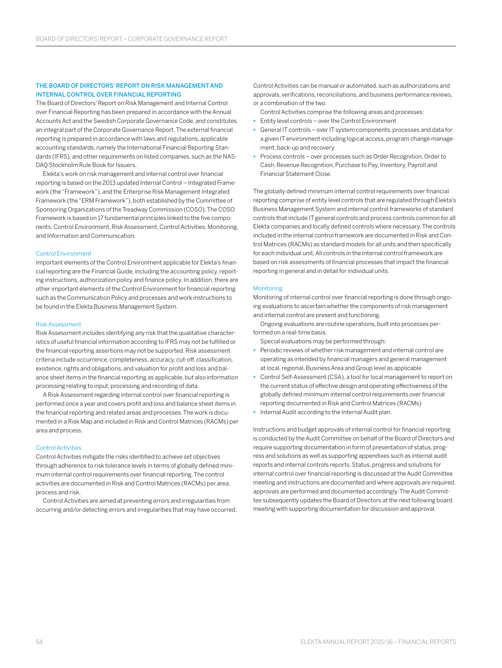#### THE BOARD OF DIRECTORS' REPORT ON RISK MANAGEMENT AND INTERNAL CONTROL OVER FINANCIAL REPORTING

The Board of Directors' Report on Risk Management and Internal Control over Financial Reporting has been prepared in accordance with the Annual Accounts Act and the Swedish Corporate Governance Code, and constitutes an integral part of the Corporate Governance Report. The external financial reporting is prepared in accordance with laws and regulations, applicable accounting standards, namely the International Financial Reporting Standards (IFRS), and other requirements on listed companies, such as the NAS-DAQ Stockholm Rule Book for Issuers.

Elekta's work on risk management and internal control over financial reporting is based on the 2013 updated Internal Control – Integrated Framework (the "Framework"), and the Enterprise Risk Management Integrated Framework (the "ERM Framework"), both established by the Committee of Sponsoring Organizations of the Treadway Commission (COSO). The COSO Framework is based on 17 fundamental principles linked to the five components: Control Environment, Risk Assessment, Control Activities, Monitoring, and Information and Communication.

#### Control Environment

Important elements of the Control Environment applicable for Elekta's financial reporting are the Financial Guide, including the accounting policy, reporting instructions, authorization policy and finance policy. In addition, there are other important elements of the Control Environment for financial reporting such as the Communication Policy and processes and work instructions to be found in the Elekta Business Management System.

#### Risk Assessment

Risk Assessment includes identifying any risk that the qualitative characteristics of useful financial information according to IFRS may not be fulfilled or the financial reporting assertions may not be supported. Risk assessment criteria include occurrence, completeness, accuracy, cut-off, classification, existence, rights and obligations, and valuation for profit and loss and balance sheet items in the financial reporting as applicable, but also information processing relating to input, processing and recording of data.

A Risk Assessment regarding internal control over financial reporting is performed once a year and covers profit and loss and balance sheet items in the financial reporting and related areas and processes. The work is documented in a Risk Map and included in Risk and Control Matrices (RACMs) per area and process.

#### Control Activities

Control Activities mitigate the risks identified to achieve set objectives through adherence to risk tolerance levels in terms of globally defined minimum internal control requirements over financial reporting. The control activities are documented in Risk and Control Matrices (RACMs) per area, process and risk.

Control Activities are aimed at preventing errors and irregularities from occurring and/or detecting errors and irregularities that may have occurred.

Control Activities can be manual or automated, such as authorizations and approvals, verifications, reconciliations, and business performance reviews, or a combination of the two.

- Control Activities comprise the following areas and processes:
- **•** Entity level controls over the Control Environment
- **•** General IT controls over IT system components, processes and data for a given IT environment including logical access, program change management, back-up and recovery
- **•** Process controls over processes such as Order Recognition, Order to Cash, Revenue Recognition, Purchase to Pay, Inventory, Payroll and Financial Statement Close.

The globally defined minimum internal control requirements over financial reporting comprise of entity level controls that are regulated through Elekta's Business Management System and internal control frameworks of standard controls that include IT general controls and process controls common for all Elekta companies and locally defined controls where necessary. The controls included in the internal control framework are documented in Risk and Control Matrices (RACMs) as standard models for all units and then specifically for each individual unit. All controls in the internal control framework are based on risk assessments of financial processes that impact the financial reporting in general and in detail for individual units.

#### Monitoring

Monitoring of internal control over financial reporting is done through ongoing evaluations to ascertain whether the components of risk management and internal control are present and functioning.

Ongoing evaluations are routine operations, built into processes performed on a real-time basis.

Special evaluations may be performed through:

- **•** Periodic reviews of whether risk management and internal control are operating as intended by financial managers and general management atlocal, regional, Business Area and Group level as applicable
- **•** Control Self-Assessment (CSA), a tool for local management to report on the current status of effective design and operating effectiveness of the globally defined minimum internal control requirements over financial reporting documented in Risk and Control Matrices (RACMs)
- **•** Internal Audit according to the Internal Audit plan.

Instructions and budget approvals of internal control for financial reporting is conducted by the Audit Committee on behalf of the Board of Directors and require supporting documentation in form of presentation of status, progress and solutions as well as supporting appendixes such as internal audit reports and internal controls reports. Status, progress and solutions for internal control over financial reporting is discussed at the Audit Committee meeting and instructions are documented and where approvals are required, approvals are performed and documented accordingly. The Audit Committee subsequently updates the Board of Directors at the next following board meeting with supporting documentation for discussion and approval.